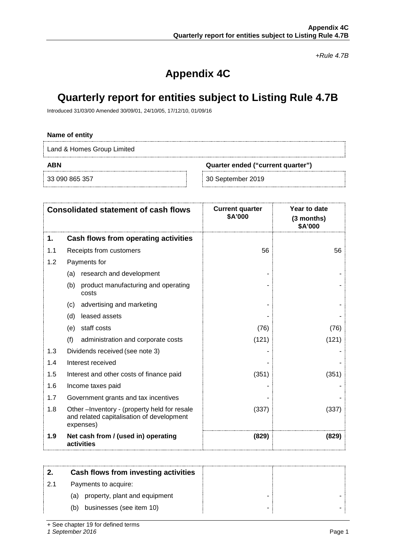*+Rule 4.7B*

# **Appendix 4C**

# **Quarterly report for entities subject to Listing Rule 4.7B**

Introduced 31/03/00 Amended 30/09/01, 24/10/05, 17/12/10, 01/09/16

### **Name of entity**

Land & Homes Group Limited

**ABN Quarter ended ("current quarter")**

33 090 865 357 30 September 2019

|     | <b>Consolidated statement of cash flows</b>                                                           | <b>Current quarter</b><br>\$A'000 | Year to date<br>(3 months)<br>\$A'000 |
|-----|-------------------------------------------------------------------------------------------------------|-----------------------------------|---------------------------------------|
| 1.  | Cash flows from operating activities                                                                  |                                   |                                       |
| 1.1 | Receipts from customers                                                                               | 56                                | 56                                    |
| 1.2 | Payments for                                                                                          |                                   |                                       |
|     | research and development<br>(a)                                                                       |                                   |                                       |
|     | (b) product manufacturing and operating<br>costs                                                      |                                   |                                       |
|     | advertising and marketing<br>(c)                                                                      |                                   |                                       |
|     | leased assets<br>(d)                                                                                  |                                   |                                       |
|     | staff costs<br>(e)                                                                                    | (76)                              | (76)                                  |
|     | (f)<br>administration and corporate costs                                                             | (121)                             | (121)                                 |
| 1.3 | Dividends received (see note 3)                                                                       |                                   |                                       |
| 1.4 | Interest received                                                                                     |                                   |                                       |
| 1.5 | Interest and other costs of finance paid                                                              | (351)                             | (351)                                 |
| 1.6 | Income taxes paid                                                                                     |                                   |                                       |
| 1.7 | Government grants and tax incentives                                                                  |                                   |                                       |
| 1.8 | Other-Inventory - (property held for resale<br>and related capitalisation of development<br>expenses) | (337)                             | (337)                                 |
| 1.9 | Net cash from / (used in) operating<br>activities                                                     | (829)                             | (829)                                 |

|     | Cash flows from investing activities |  |
|-----|--------------------------------------|--|
| 2.1 | Payments to acquire:                 |  |
|     | property, plant and equipment<br>(a) |  |
|     | businesses (see item 10)<br>(b)      |  |

+ See chapter 19 for defined terms

*1 September 2016* Page 1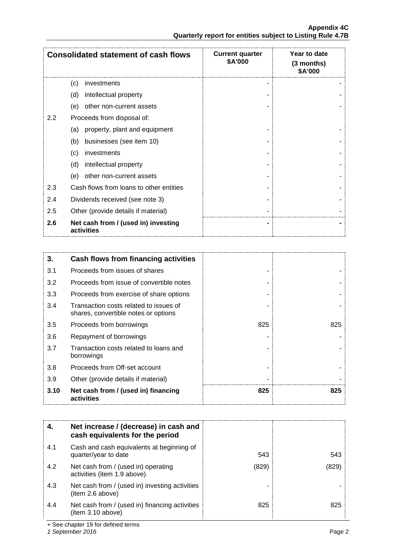|     | <b>Consolidated statement of cash flows</b>       | <b>Current quarter</b><br>\$A'000 | Year to date<br>(3 months)<br>\$A'000 |
|-----|---------------------------------------------------|-----------------------------------|---------------------------------------|
|     | investments<br>(c)                                |                                   |                                       |
|     | intellectual property<br>(d)                      |                                   |                                       |
|     | other non-current assets<br>(e)                   |                                   |                                       |
| 2.2 | Proceeds from disposal of:                        |                                   |                                       |
|     | property, plant and equipment<br>(a)              |                                   |                                       |
|     | businesses (see item 10)<br>(b)                   |                                   |                                       |
|     | investments<br>(c)                                |                                   |                                       |
|     | intellectual property<br>(d)                      |                                   |                                       |
|     | other non-current assets<br>(e)                   |                                   |                                       |
| 2.3 | Cash flows from loans to other entities           |                                   |                                       |
| 2.4 | Dividends received (see note 3)                   |                                   |                                       |
| 2.5 | Other (provide details if material)               |                                   |                                       |
| 2.6 | Net cash from / (used in) investing<br>activities |                                   |                                       |

| 3.   | Cash flows from financing activities                                           |     |     |
|------|--------------------------------------------------------------------------------|-----|-----|
| 3.1  | Proceeds from issues of shares                                                 |     |     |
| 3.2  | Proceeds from issue of convertible notes                                       |     |     |
| 3.3  | Proceeds from exercise of share options                                        |     |     |
| 3.4  | Transaction costs related to issues of<br>shares, convertible notes or options |     |     |
| 3.5  | Proceeds from borrowings                                                       | 825 | 825 |
| 3.6  | Repayment of borrowings                                                        |     |     |
| 3.7  | Transaction costs related to loans and<br>borrowings                           |     |     |
| 3.8  | Proceeds from Off-set account                                                  |     |     |
| 3.9  | Other (provide details if material)                                            |     |     |
| 3.10 | Net cash from / (used in) financing<br>activities                              | 825 | 825 |

| 4.  | Net increase / (decrease) in cash and<br>cash equivalents for the period |       |     |
|-----|--------------------------------------------------------------------------|-------|-----|
| 4.1 | Cash and cash equivalents at beginning of<br>quarter/year to date        | 543   | 543 |
| 4.2 | Net cash from / (used in) operating<br>activities (item 1.9 above)       | (829) | 829 |
| 4.3 | Net cash from / (used in) investing activities<br>(item 2.6 above)       |       |     |
| 4.4 | Net cash from / (used in) financing activities<br>(item 3.10 above)      | 825   | 825 |

+ See chapter 19 for defined terms

*1 September 2016* Page 2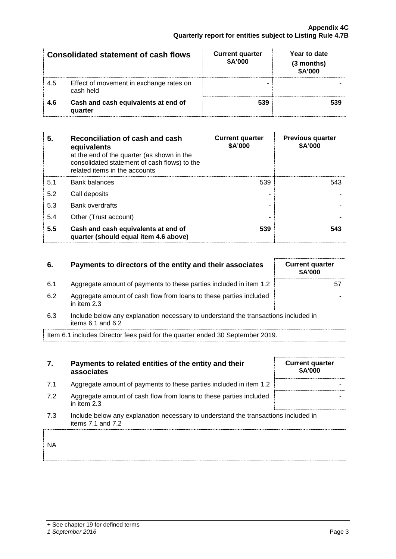|     | Consolidated statement of cash flows                 | <b>Current quarter</b><br>\$A'000 | Year to date<br>(3 months)<br>\$A'000 |
|-----|------------------------------------------------------|-----------------------------------|---------------------------------------|
| 4.5 | Effect of movement in exchange rates on<br>cash held |                                   |                                       |
| 4.6 | Cash and cash equivalents at end of<br>quarter       | 539                               |                                       |

| 5.  | Reconciliation of cash and cash<br>equivalents<br>at the end of the quarter (as shown in the<br>consolidated statement of cash flows) to the<br>related items in the accounts | <b>Current quarter</b><br>\$A'000 | <b>Previous quarter</b><br>\$A'000 |
|-----|-------------------------------------------------------------------------------------------------------------------------------------------------------------------------------|-----------------------------------|------------------------------------|
| 5.1 | Bank balances                                                                                                                                                                 | 539                               | 543.                               |
| 5.2 | Call deposits                                                                                                                                                                 |                                   |                                    |
| 5.3 | <b>Bank overdrafts</b>                                                                                                                                                        |                                   |                                    |
| 5.4 | Other (Trust account)                                                                                                                                                         |                                   |                                    |
| 5.5 | Cash and cash equivalents at end of<br>quarter (should equal item 4.6 above)                                                                                                  | 539                               |                                    |

# **6.** Payments to directors of the entity and their associates

- 6.1 Aggregate amount of payments to these parties included in item 1.2
- 6.2 Aggregate amount of cash flow from loans to these parties included in item 2.3
- 6.3 Include below any explanation necessary to understand the transactions included in items 6.1 and 6.2

Item 6.1 includes Director fees paid for the quarter ended 30 September 2019.

## **7. Payments to related entities of the entity and their associates**

- 7.1 Aggregate amount of payments to these parties included in item 1.2
- 7.2 Aggregate amount of cash flow from loans to these parties included in item 2.3
- 7.3 Include below any explanation necessary to understand the transactions included in items 7.1 and 7.2

NA

| <b>Current quarter</b><br>\$A'000 |  |
|-----------------------------------|--|
| 57                                |  |
|                                   |  |

**Current quarter \$A'000**

### *1 September 2016* Page 3

-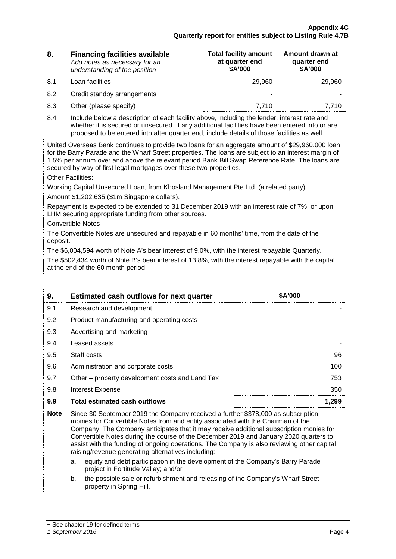| 8. | <b>Financing facilities available</b> |
|----|---------------------------------------|
|    | Add notes as necessary for an         |
|    | understanding of the position         |

| 8.  | <b>Financing facilities available</b><br>Add notes as necessary for an<br>understanding of the position | <b>Total facility amount</b><br>at quarter end<br>\$A'000 | Amount drawn at<br>quarter end<br>\$A'000 |
|-----|---------------------------------------------------------------------------------------------------------|-----------------------------------------------------------|-------------------------------------------|
| 8.1 | Loan facilities                                                                                         | 29,960                                                    | 29.960                                    |
| 8.2 | Credit standby arrangements                                                                             | -                                                         |                                           |
| 8.3 | Other (please specify)                                                                                  | 7.710                                                     |                                           |

8.4 Include below a description of each facility above, including the lender, interest rate and whether it is secured or unsecured. If any additional facilities have been entered into or are proposed to be entered into after quarter end, include details of those facilities as well.

United Overseas Bank continues to provide two loans for an aggregate amount of \$29,960,000 loan for the Barry Parade and the Wharf Street properties. The loans are subject to an interest margin of 1.5% per annum over and above the relevant period Bank Bill Swap Reference Rate. The loans are secured by way of first legal mortgages over these two properties.

Other Facilities:

Working Capital Unsecured Loan, from Khosland Management Pte Ltd. (a related party) Amount \$1,202,635 (\$1m Singapore dollars).

Repayment is expected to be extended to 31 December 2019 with an interest rate of 7%, or upon LHM securing appropriate funding from other sources.

Convertible Notes

The Convertible Notes are unsecured and repayable in 60 months' time, from the date of the deposit.

The \$6,004,594 worth of Note A's bear interest of 9.0%, with the interest repayable Quarterly.

The \$502,434 worth of Note B's bear interest of 13.8%, with the interest repayable with the capital at the end of the 60 month period.

| 9.  | <b>Estimated cash outflows for next quarter</b> | <b>SA'000</b> |
|-----|-------------------------------------------------|---------------|
| 9.1 | Research and development                        |               |
| 9.2 | Product manufacturing and operating costs       |               |
| 9.3 | Advertising and marketing                       |               |
| 9.4 | Leased assets                                   |               |
| 9.5 | Staff costs                                     | 96            |
| 9.6 | Administration and corporate costs              | 100           |
| 9.7 | Other – property development costs and Land Tax | 753           |
| 9.8 | Interest Expense                                | 350           |
| 9.9 | Total estimated cash outflows                   |               |

- **Note** Since 30 September 2019 the Company received a further \$378,000 as subscription monies for Convertible Notes from and entity associated with the Chairman of the Company. The Company anticipates that it may receive additional subscription monies for Convertible Notes during the course of the December 2019 and January 2020 quarters to assist with the funding of ongoing operations. The Company is also reviewing other capital raising/revenue generating alternatives including:
	- a. equity and debt participation in the development of the Company's Barry Parade project in Fortitude Valley; and/or
	- b. the possible sale or refurbishment and releasing of the Company's Wharf Street property in Spring Hill.